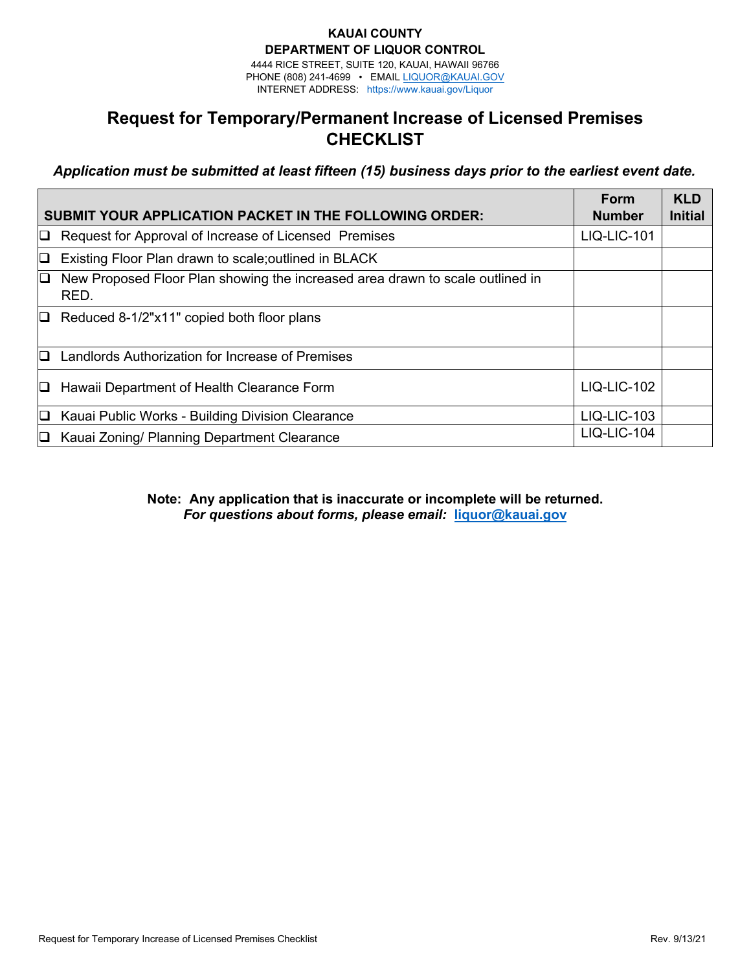### **KAUAI COUNTY DEPARTMENT OF LIQUOR CONTROL**

4444 RICE STREET, SUITE 120, KAUAI, HAWAII 96766 PHONE (808) 241-4699 • EMAIL [LIQUOR@KAUAI.GOV](mailto:HLC@honolulu.gov) INTERNET ADDRESS: htt[ps://www.kauai.gov/Liqu](http://www.honolulu.gov/liq)or

# **Request for Temporary/Permanent Increase of Licensed Premises CHECKLIST**

*Application must be submitted at least fifteen (15) business days prior to the earliest event date.* 

| SUBMIT YOUR APPLICATION PACKET IN THE FOLLOWING ORDER: |                                                                                       |                    | <b>KLD</b><br><b>Initial</b> |
|--------------------------------------------------------|---------------------------------------------------------------------------------------|--------------------|------------------------------|
| D.                                                     | Request for Approval of Increase of Licensed Premises                                 | <b>LIQ-LIC-101</b> |                              |
| D.                                                     | Existing Floor Plan drawn to scale; outlined in BLACK                                 |                    |                              |
| IQ.                                                    | New Proposed Floor Plan showing the increased area drawn to scale outlined in<br>RED. |                    |                              |
| $\Box$                                                 | Reduced 8-1/2"x11" copied both floor plans                                            |                    |                              |
| D.                                                     | Landlords Authorization for Increase of Premises                                      |                    |                              |
| O.                                                     | Hawaii Department of Health Clearance Form                                            | $LIQ-LIC-102$      |                              |
| O                                                      | Kauai Public Works - Building Division Clearance                                      | LIQ-LIC-103        |                              |
| O.                                                     | Kauai Zoning/ Planning Department Clearance                                           | LIQ-LIC-104        |                              |

**Note: Any application that is inaccurate or incomplete will be returned.** *For questions about forms, please email:* **liquor@kauai.gov**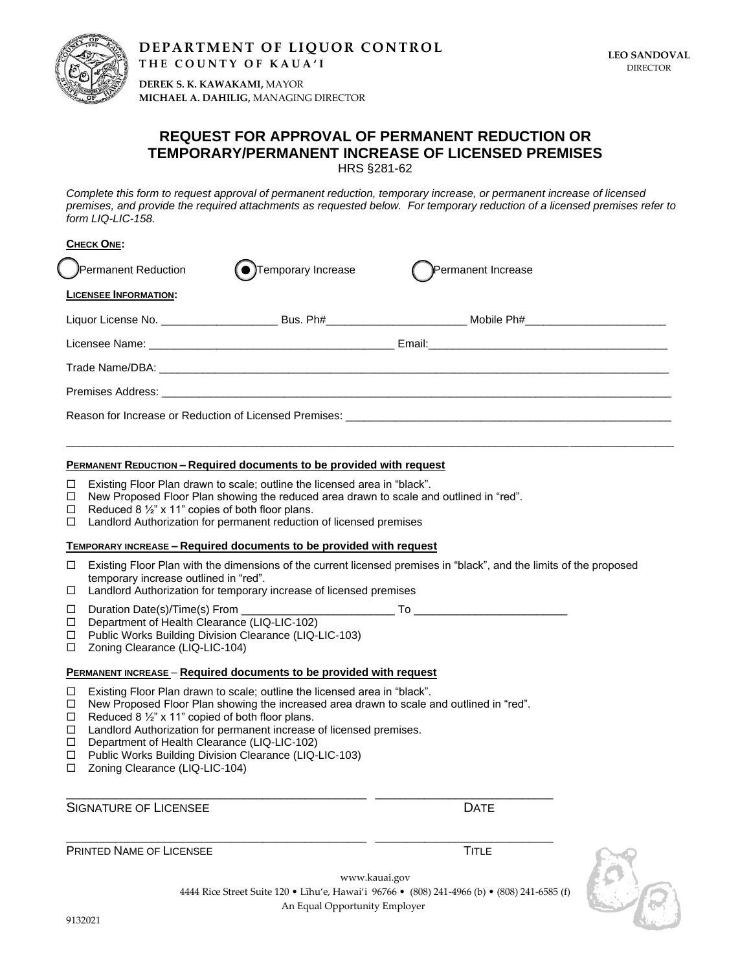

**DEPARTMENT OF LIQUOR CONTROL T H E C O U N T Y O F K A U A ' I**

**DEREK S. K. KAWAKAMI,** MAYOR **MICHAEL A. DAHILIG,** MANAGING DIRECTOR

### **REQUEST FOR APPROVAL OF PERMANENT REDUCTION OR TEMPORARY/PERMANENT INCREASE OF LICENSED PREMISES** HRS §281-62

*Complete this form to request approval of permanent reduction, temporary increase, or permanent increase of licensed premises, and provide the required attachments as requested below. For temporary reduction of a licensed premises refer to form LIQ-LIC-158.*

| <b>CHECK ONE:</b>                                                                                          |                             |                                                                                                                |  |  |
|------------------------------------------------------------------------------------------------------------|-----------------------------|----------------------------------------------------------------------------------------------------------------|--|--|
| <b>Permanent Reduction</b>                                                                                 | <b>●</b> Temporary Increase | Permanent Increase                                                                                             |  |  |
| <b>LICENSEE INFORMATION:</b>                                                                               |                             |                                                                                                                |  |  |
|                                                                                                            |                             | Liquor License No. ___________________________Bus. Ph#____________________________Mobile Ph#__________________ |  |  |
|                                                                                                            |                             |                                                                                                                |  |  |
|                                                                                                            |                             |                                                                                                                |  |  |
|                                                                                                            |                             |                                                                                                                |  |  |
| Reason for Increase or Reduction of Licensed Premises: Name of the Marine School of the New York Premises: |                             |                                                                                                                |  |  |
|                                                                                                            |                             |                                                                                                                |  |  |

 $\bot$  , and the state of the state of the state of the state of the state of the state of the state of the state of the state of the state of the state of the state of the state of the state of the state of the state of th

#### **PERMANENT REDUCTION - Required documents to be provided with request**

- $\Box$  Existing Floor Plan drawn to scale; outline the licensed area in "black".<br>  $\Box$  New Proposed Floor Plan showing the reduced area drawn to scale an
- New Proposed Floor Plan showing the reduced area drawn to scale and outlined in "red".
- $\Box$  Reduced 8  $\frac{1}{2}$ " x 11" copies of both floor plans.
- $\Box$  Landlord Authorization for permanent reduction of licensed premises

#### **TEMPORARY INCREASE – Required documents to be provided with request**

 $\Box$  Existing Floor Plan with the dimensions of the current licensed premises in "black", and the limits of the proposed temporary increase outlined in "red".

> www.kauai.gov 4444 Rice Street Suite 120 • Līhu'e, Hawai'i 96766 • (808) 241-4966 (b) • (808) 241-6585 (f)

> > An Equal Opportunity Employer

- $\Box$  Landlord Authorization for temporary increase of licensed premises
- Duration Date(s)/Time(s) From \_\_\_\_\_\_\_\_\_\_\_\_\_\_\_\_\_\_\_\_\_\_\_\_\_ To \_\_\_\_\_\_\_\_\_\_\_\_\_\_\_\_\_\_\_\_\_\_\_\_\_ D Department of Health Clearance (LIQ-LIC-102)

- □ Public Works Building Division Clearance (LIQ-LIC-103)
- □ Zoning Clearance (LIQ-LIC-104)

#### **PERMANENT INCREASE – Required documents to be provided with request**

- Existing Floor Plan drawn to scale; outline the licensed area in "black".
- $\Box$  New Proposed Floor Plan showing the increased area drawn to scale and outlined in "red".

\_\_\_\_\_\_\_\_\_\_\_\_\_\_\_\_\_\_\_\_\_\_\_\_\_\_\_\_\_\_\_\_\_\_\_\_\_\_\_\_\_\_\_\_\_\_\_\_\_ \_\_\_\_\_\_\_\_\_\_\_\_\_\_\_\_\_\_\_\_\_\_\_\_\_\_\_\_\_

\_\_\_\_\_\_\_\_\_\_\_\_\_\_\_\_\_\_\_\_\_\_\_\_\_\_\_\_\_\_\_\_\_\_\_\_\_\_\_\_\_\_\_\_\_\_\_\_\_ \_\_\_\_\_\_\_\_\_\_\_\_\_\_\_\_\_\_\_\_\_\_\_\_\_\_\_\_\_

- $\Box$  Reduced 8 1/2" x 11" copied of both floor plans.
- □ Landlord Authorization for permanent increase of licensed premises.
- D Department of Health Clearance (LIQ-LIC-102)
- □ Public Works Building Division Clearance (LIQ-LIC-103)
- □ Zoning Clearance (LIQ-LIC-104)

SIGNATURE OF LICENSEE DATE OF LICENSEE DATE

PRINTED NAME OF LICENSEE THE STATE STATE TIME TITLE

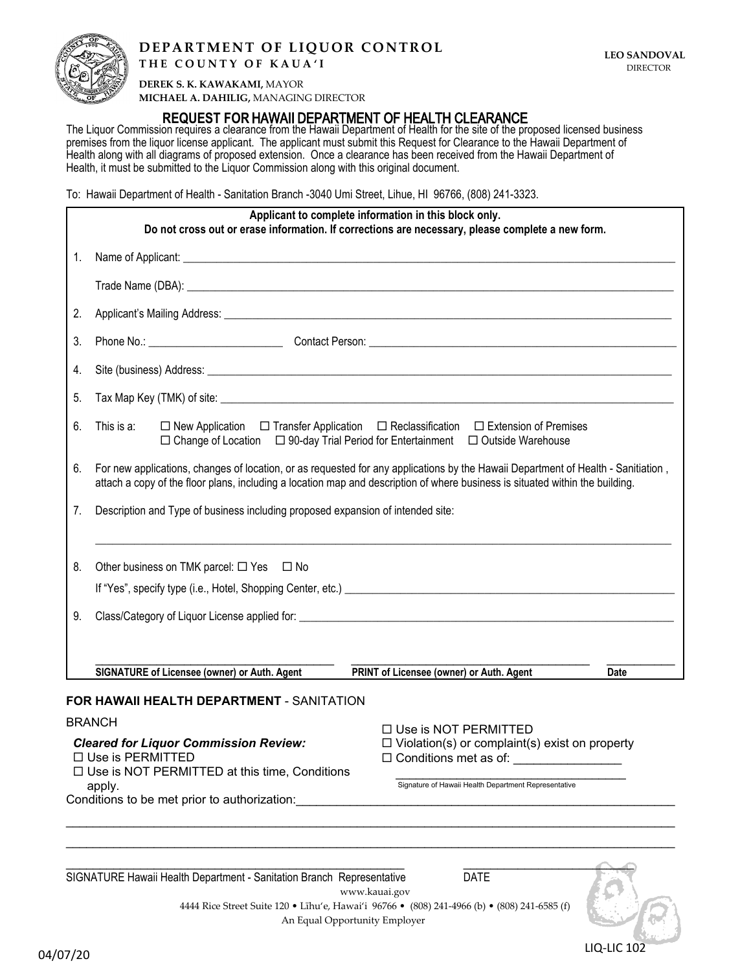

# **DEPARTMENT OF LIQUOR CONTROL**

**DEREK S. K. KAWAKAMI,** MAYOR **MICHAEL A. DAHILIG,** MANAGING DIRECTOR

## **REQUEST FOR** HAWAII DEPARTMENT OF HEALTH CLEARANCE

The Liquor Commission requires a clearance from the Hawaii Department of Health for the site of the proposed licensed business premises from the liquor license applicant. The applicant must submit this Request for Clearance to the Hawaii Department of Health along with all diagrams of proposed extension. Once a clearance has been received from the Hawaii Department of Health, it must be submitted to the Liquor Commission along with this original document.

To: Hawaii Department of Health - Sanitation Branch -3040 Umi Street, Lihue, HI 96766, (808) 241-3323.

| Applicant to complete information in this block only.<br>Do not cross out or erase information. If corrections are necessary, please complete a new form. |                                                                                                                                                                                                                                                                    |                                                                                                                              |      |
|-----------------------------------------------------------------------------------------------------------------------------------------------------------|--------------------------------------------------------------------------------------------------------------------------------------------------------------------------------------------------------------------------------------------------------------------|------------------------------------------------------------------------------------------------------------------------------|------|
| 1.                                                                                                                                                        |                                                                                                                                                                                                                                                                    |                                                                                                                              |      |
|                                                                                                                                                           |                                                                                                                                                                                                                                                                    |                                                                                                                              |      |
| 2.                                                                                                                                                        |                                                                                                                                                                                                                                                                    |                                                                                                                              |      |
| 3.                                                                                                                                                        |                                                                                                                                                                                                                                                                    |                                                                                                                              |      |
| 4.                                                                                                                                                        |                                                                                                                                                                                                                                                                    |                                                                                                                              |      |
| 5.                                                                                                                                                        |                                                                                                                                                                                                                                                                    |                                                                                                                              |      |
| 6.                                                                                                                                                        | This is a:<br>$\Box$ New Application $\Box$ Transfer Application $\Box$ Reclassification $\Box$ Extension of Premises<br>$\Box$ Change of Location $\Box$ 90-day Trial Period for Entertainment $\Box$ Outside Warehouse                                           |                                                                                                                              |      |
| 6.                                                                                                                                                        | For new applications, changes of location, or as requested for any applications by the Hawaii Department of Health - Sanitiation,<br>attach a copy of the floor plans, including a location map and description of where business is situated within the building. |                                                                                                                              |      |
| 7.                                                                                                                                                        | Description and Type of business including proposed expansion of intended site:                                                                                                                                                                                    |                                                                                                                              |      |
| 8.                                                                                                                                                        | Other business on TMK parcel: $\Box$ Yes $\Box$ No                                                                                                                                                                                                                 |                                                                                                                              |      |
| 9.                                                                                                                                                        |                                                                                                                                                                                                                                                                    |                                                                                                                              |      |
|                                                                                                                                                           | SIGNATURE of Licensee (owner) or Auth. Agent                                                                                                                                                                                                                       | PRINT of Licensee (owner) or Auth. Agent                                                                                     | Date |
|                                                                                                                                                           | FOR HAWAII HEALTH DEPARTMENT - SANITATION                                                                                                                                                                                                                          |                                                                                                                              |      |
|                                                                                                                                                           | <b>BRANCH</b>                                                                                                                                                                                                                                                      | $\Box$ Use is NOT PERMITTED                                                                                                  |      |
| <b>Cleared for Liquor Commission Review:</b><br>□ Use is PERMITTED<br>$\Box$ Use is NOT PERMITTED at this time, Conditions                                |                                                                                                                                                                                                                                                                    | $\Box$ Violation(s) or complaint(s) exist on property<br>$\Box$ Conditions met as of:                                        |      |
| Signature of Hawaii Health Department Representative<br>apply.<br>Conditions to be met prior to authorization:                                            |                                                                                                                                                                                                                                                                    |                                                                                                                              |      |
|                                                                                                                                                           | SIGNATURE Hawaii Health Department - Sanitation Branch Representative                                                                                                                                                                                              | <b>DATE</b><br>www.kauai.gov<br>4444 Rice Street Suite 120 • Līhu'e, Hawai'i 96766 • (808) 241-4966 (b) • (808) 241-6585 (f) |      |

04/07/20 LIQ-LIC 102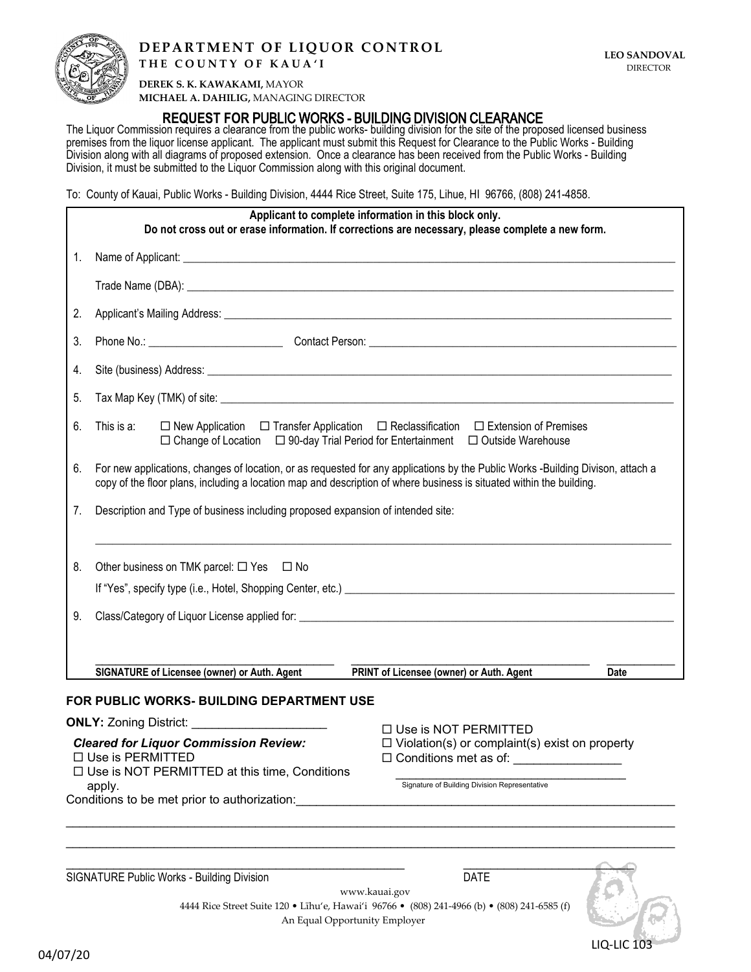

### **DEPARTMENT OF LIQUOR CONTROL THE COUNTY OF KAUA'I**

**DEREK S. K. KAWAKAMI,** MAYOR **MICHAEL A. DAHILIG,** MANAGING DIRECTOR

### **REQUEST FOR** PUBLIC WORKS - BUILDING DIVISION CLEARANCE

The Liquor Commission requires a clearance from the public works- building division for the site of the proposed licensed business premises from the liquor license applicant. The applicant must submit this Request for Clearance to the Public Works - Building Division along with all diagrams of proposed extension. Once a clearance has been received from the Public Works - Building Division, it must be submitted to the Liquor Commission along with this original document.

To: County of Kauai, Public Works - Building Division, 4444 Rice Street, Suite 175, Lihue, HI 96766, (808) 241-4858.

| Applicant to complete information in this block only.<br>Do not cross out or erase information. If corrections are necessary, please complete a new form. |                                                                                                                                                                                                                                                         |  |  |
|-----------------------------------------------------------------------------------------------------------------------------------------------------------|---------------------------------------------------------------------------------------------------------------------------------------------------------------------------------------------------------------------------------------------------------|--|--|
| 1.                                                                                                                                                        |                                                                                                                                                                                                                                                         |  |  |
|                                                                                                                                                           |                                                                                                                                                                                                                                                         |  |  |
| 2.                                                                                                                                                        |                                                                                                                                                                                                                                                         |  |  |
| 3.                                                                                                                                                        |                                                                                                                                                                                                                                                         |  |  |
| 4.                                                                                                                                                        |                                                                                                                                                                                                                                                         |  |  |
| 5.                                                                                                                                                        |                                                                                                                                                                                                                                                         |  |  |
| 6.                                                                                                                                                        | $\Box$ New Application $\Box$ Transfer Application $\Box$ Reclassification $\Box$ Extension of Premises<br>This is a:<br>$\Box$ Change of Location $\Box$ 90-day Trial Period for Entertainment $\Box$ Outside Warehouse                                |  |  |
| 6.                                                                                                                                                        | For new applications, changes of location, or as requested for any applications by the Public Works -Building Divison, attach a<br>copy of the floor plans, including a location map and description of where business is situated within the building. |  |  |
| 7.                                                                                                                                                        | Description and Type of business including proposed expansion of intended site:                                                                                                                                                                         |  |  |
| 8.                                                                                                                                                        | Other business on TMK parcel: $\Box$ Yes $\Box$ No                                                                                                                                                                                                      |  |  |
|                                                                                                                                                           | If "Yes", specify type (i.e., Hotel, Shopping Center, etc.) [14] The Content of the Content of the Content of the Content of the Content of the Content of the Content of the Content of the Content of the Content of the Con                          |  |  |
| 9.                                                                                                                                                        |                                                                                                                                                                                                                                                         |  |  |
|                                                                                                                                                           |                                                                                                                                                                                                                                                         |  |  |
|                                                                                                                                                           | SIGNATURE of Licensee (owner) or Auth. Agent<br>PRINT of Licensee (owner) or Auth. Agent<br>Date                                                                                                                                                        |  |  |
|                                                                                                                                                           | FOR PUBLIC WORKS- BUILDING DEPARTMENT USE                                                                                                                                                                                                               |  |  |
|                                                                                                                                                           | <b>ONLY:</b> Zoning District: <b>CONLY:</b> Zoning District:<br>$\Box$ Use is NOT PERMITTED                                                                                                                                                             |  |  |
|                                                                                                                                                           | <b>Cleared for Liquor Commission Review:</b><br>$\Box$ Violation(s) or complaint(s) exist on property<br>□ Use is PERMITTED<br>$\Box$ Conditions met as of:<br>$\Box$ Use is NOT PERMITTED at this time, Conditions                                     |  |  |
|                                                                                                                                                           | Signature of Building Division Representative<br>apply.<br>Conditions to be met prior to authorization:                                                                                                                                                 |  |  |
|                                                                                                                                                           |                                                                                                                                                                                                                                                         |  |  |

SIGNATURE Public Works - Building Division DATE

\_\_\_\_\_\_\_\_\_\_\_\_\_\_\_\_\_\_\_\_\_\_\_\_\_\_\_\_\_\_\_\_\_\_\_\_\_\_\_\_\_\_\_\_\_\_\_\_\_\_ \_\_\_\_\_\_\_\_\_\_\_\_\_\_\_\_\_\_\_\_\_\_\_\_\_ 04/07/20 LIQ-LIC 103

www.kauai.gov 4444 Rice Street Suite 120 • Līhu'e, Hawai'i 96766 • (808) 241-4966 (b) • (808) 241-6585 (f) An Equal Opportunity Employer